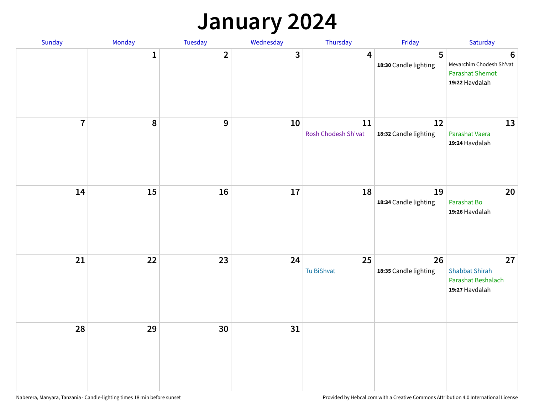## **January 2024**

| Sunday         | Monday       | Tuesday        | Wednesday | Thursday                  | Friday                      | Saturday                                                                  |
|----------------|--------------|----------------|-----------|---------------------------|-----------------------------|---------------------------------------------------------------------------|
|                | $\mathbf{1}$ | $\overline{2}$ | 3         | 4                         | 5<br>18:30 Candle lighting  | 6<br>Mevarchim Chodesh Sh'vat<br><b>Parashat Shemot</b><br>19:22 Havdalah |
| $\overline{7}$ | 8            | $\overline{9}$ | 10        | 11<br>Rosh Chodesh Sh'vat | 12<br>18:32 Candle lighting | 13<br>Parashat Vaera<br>19:24 Havdalah                                    |
| 14             | 15           | 16             | 17        | 18                        | 19<br>18:34 Candle lighting | 20<br>Parashat Bo<br>19:26 Havdalah                                       |
| 21             | 22           | 23             | 24        | 25<br>Tu BiShvat          | 26<br>18:35 Candle lighting | 27<br><b>Shabbat Shirah</b><br>Parashat Beshalach<br>19:27 Havdalah       |
| 28             | 29           | 30             | 31        |                           |                             |                                                                           |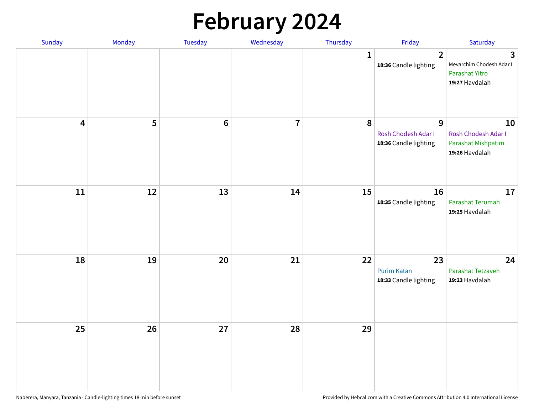# **February 2024**

| Sunday                  | Monday | Tuesday         | Wednesday      | Thursday     | Friday                                            | Saturday                                                                     |
|-------------------------|--------|-----------------|----------------|--------------|---------------------------------------------------|------------------------------------------------------------------------------|
|                         |        |                 |                | $\mathbf{1}$ | $\overline{2}$<br>18:36 Candle lighting           | $\mathbf{3}$<br>Mevarchim Chodesh Adar I<br>Parashat Yitro<br>19:27 Havdalah |
| $\overline{\mathbf{4}}$ | 5      | $6\phantom{1}6$ | $\overline{7}$ | 8            | 9<br>Rosh Chodesh Adar I<br>18:36 Candle lighting | 10<br>Rosh Chodesh Adar I<br>Parashat Mishpatim<br>19:26 Havdalah            |
| ${\bf 11}$              | 12     | 13              | 14             | 15           | 16<br>18:35 Candle lighting                       | 17<br>Parashat Terumah<br>19:25 Havdalah                                     |
| 18                      | 19     | 20              | 21             | 22           | 23<br><b>Purim Katan</b><br>18:33 Candle lighting | 24<br>Parashat Tetzaveh<br>19:23 Havdalah                                    |
| 25                      | 26     | 27              | 28             | 29           |                                                   |                                                                              |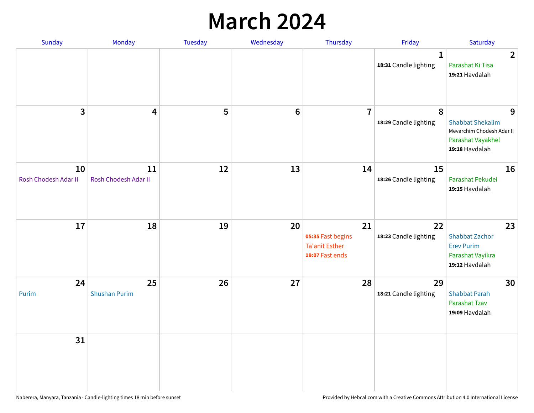## **March 2024**

| Sunday                     | Monday                     | <b>Tuesday</b> | Wednesday | Thursday                                                            | Friday                                | Saturday                                                                                         |
|----------------------------|----------------------------|----------------|-----------|---------------------------------------------------------------------|---------------------------------------|--------------------------------------------------------------------------------------------------|
|                            |                            |                |           |                                                                     | $\mathbf{1}$<br>18:31 Candle lighting | $\overline{2}$<br>Parashat Ki Tisa<br>19:21 Havdalah                                             |
| 3                          | $\overline{\mathbf{4}}$    | 5              | $\bf 6$   | $\overline{7}$                                                      | 8<br>18:29 Candle lighting            | 9<br><b>Shabbat Shekalim</b><br>Mevarchim Chodesh Adar II<br>Parashat Vayakhel<br>19:18 Havdalah |
| 10<br>Rosh Chodesh Adar II | 11<br>Rosh Chodesh Adar II | 12             | 13        | 14                                                                  | 15<br>18:26 Candle lighting           | 16<br>Parashat Pekudei<br>19:15 Havdalah                                                         |
| 17                         | 18                         | 19             | 20        | 21<br>05:35 Fast begins<br><b>Ta'anit Esther</b><br>19:07 Fast ends | 22<br>18:23 Candle lighting           | 23<br><b>Shabbat Zachor</b><br><b>Erev Purim</b><br>Parashat Vayikra<br>19:12 Havdalah           |
| 24<br>Purim                | 25<br><b>Shushan Purim</b> | 26             | 27        | 28                                                                  | 29<br>18:21 Candle lighting           | 30<br><b>Shabbat Parah</b><br>Parashat Tzav<br>19:09 Havdalah                                    |
| 31                         |                            |                |           |                                                                     |                                       |                                                                                                  |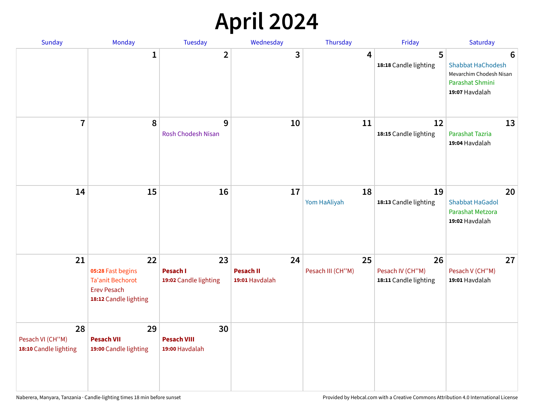## **April 2024**

| Sunday                                          | Monday                                                                                            | Tuesday                                        | Wednesday                                | Thursday                | Friday                                          | Saturday                                                                                      |
|-------------------------------------------------|---------------------------------------------------------------------------------------------------|------------------------------------------------|------------------------------------------|-------------------------|-------------------------------------------------|-----------------------------------------------------------------------------------------------|
|                                                 | 1                                                                                                 | $\overline{2}$                                 | 3                                        | 4                       | 5<br>18:18 Candle lighting                      | 6<br><b>Shabbat HaChodesh</b><br>Mevarchim Chodesh Nisan<br>Parashat Shmini<br>19:07 Havdalah |
| $\overline{7}$                                  | 8                                                                                                 | 9<br><b>Rosh Chodesh Nisan</b>                 | 10                                       | 11                      | 12<br>18:15 Candle lighting                     | 13<br>Parashat Tazria<br>19:04 Havdalah                                                       |
| 14                                              | 15                                                                                                | 16                                             | 17                                       | 18<br>Yom HaAliyah      | 19<br>18:13 Candle lighting                     | 20<br><b>Shabbat HaGadol</b><br>Parashat Metzora<br>19:02 Havdalah                            |
| 21                                              | 22<br>05:28 Fast begins<br><b>Ta'anit Bechorot</b><br><b>Erev Pesach</b><br>18:12 Candle lighting | 23<br><b>Pesach I</b><br>19:02 Candle lighting | 24<br><b>Pesach II</b><br>19:01 Havdalah | 25<br>Pesach III (CH"M) | 26<br>Pesach IV (CH"M)<br>18:11 Candle lighting | 27<br>Pesach V (CH"M)<br>19:01 Havdalah                                                       |
| 28<br>Pesach VI (CH"M)<br>18:10 Candle lighting | 29<br><b>Pesach VII</b><br>19:00 Candle lighting                                                  | 30<br><b>Pesach VIII</b><br>19:00 Havdalah     |                                          |                         |                                                 |                                                                                               |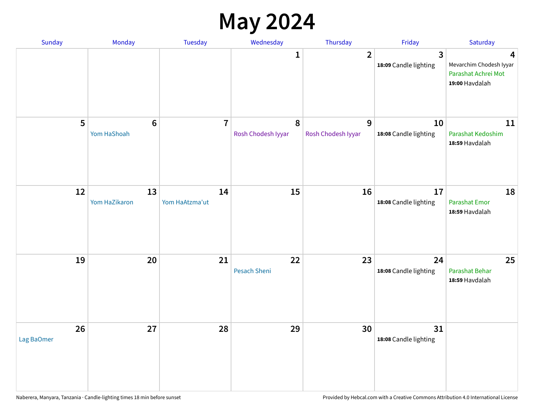### **May 2024**

| Sunday           | Monday              | Tuesday              | Wednesday          | Thursday           | Friday                                           | Saturday                                                              |
|------------------|---------------------|----------------------|--------------------|--------------------|--------------------------------------------------|-----------------------------------------------------------------------|
|                  |                     |                      | 1                  | $\overline{2}$     | $\overline{\mathbf{3}}$<br>18:09 Candle lighting | 4<br>Mevarchim Chodesh Iyyar<br>Parashat Achrei Mot<br>19:00 Havdalah |
| 5                | $6\phantom{1}6$     | $\overline{7}$       | 8                  | 9                  | 10                                               | 11                                                                    |
|                  | Yom HaShoah         |                      | Rosh Chodesh Iyyar | Rosh Chodesh Iyyar | 18:08 Candle lighting                            | Parashat Kedoshim<br>18:59 Havdalah                                   |
| 12               | 13<br>Yom HaZikaron | 14<br>Yom HaAtzma'ut | 15                 | 16                 | 17<br>18:08 Candle lighting                      | 18<br>Parashat Emor<br>18:59 Havdalah                                 |
| 19               | 20                  | 21                   | 22<br>Pesach Sheni | 23                 | 24<br>18:08 Candle lighting                      | 25<br>Parashat Behar<br>18:59 Havdalah                                |
| 26<br>Lag BaOmer | 27                  | 28                   | 29                 | 30                 | 31<br>18:08 Candle lighting                      |                                                                       |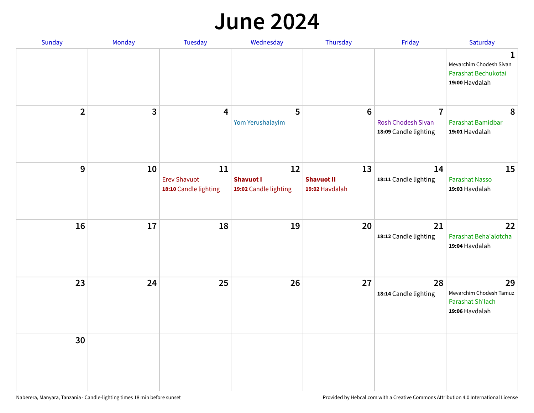#### **June 2024**

| Sunday         | Monday       | Tuesday                                            | Wednesday                                       | Thursday                                  | Friday                                                               | Saturday                                                                         |
|----------------|--------------|----------------------------------------------------|-------------------------------------------------|-------------------------------------------|----------------------------------------------------------------------|----------------------------------------------------------------------------------|
|                |              |                                                    |                                                 |                                           |                                                                      | $\mathbf{1}$<br>Mevarchim Chodesh Sivan<br>Parashat Bechukotai<br>19:00 Havdalah |
| $\overline{2}$ | $\mathbf{3}$ | 4                                                  | 5<br>Yom Yerushalayim                           | $6\phantom{1}6$                           | $\overline{7}$<br><b>Rosh Chodesh Sivan</b><br>18:09 Candle lighting | 8<br>Parashat Bamidbar<br>19:01 Havdalah                                         |
| 9              | 10           | 11<br><b>Erev Shavuot</b><br>18:10 Candle lighting | 12<br><b>Shavuot I</b><br>19:02 Candle lighting | 13<br><b>Shavuot II</b><br>19:02 Havdalah | 14<br>18:11 Candle lighting                                          | 15<br>Parashat Nasso<br>19:03 Havdalah                                           |
| 16             | 17           | 18                                                 | 19                                              | 20                                        | 21<br>18:12 Candle lighting                                          | 22<br>Parashat Beha'alotcha<br>19:04 Havdalah                                    |
| 23             | 24           | 25                                                 | 26                                              | 27                                        | 28<br>18:14 Candle lighting                                          | 29<br>Mevarchim Chodesh Tamuz<br>Parashat Sh'lach<br>19:06 Havdalah              |
| 30             |              |                                                    |                                                 |                                           |                                                                      |                                                                                  |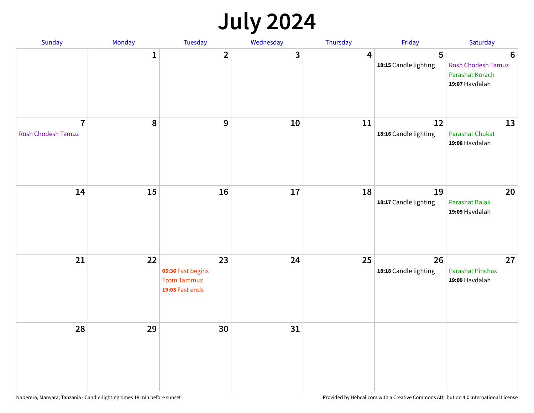## **July 2024**

| Sunday                                      | Monday       | Tuesday                                                          | Wednesday | Thursday                | Friday                      | Saturday                                                                           |
|---------------------------------------------|--------------|------------------------------------------------------------------|-----------|-------------------------|-----------------------------|------------------------------------------------------------------------------------|
|                                             | $\mathbf{1}$ | $\overline{\mathbf{2}}$                                          | 3         | $\overline{\mathbf{4}}$ | 5<br>18:15 Candle lighting  | $\boldsymbol{6}$<br><b>Rosh Chodesh Tamuz</b><br>Parashat Korach<br>19:07 Havdalah |
| $\overline{7}$<br><b>Rosh Chodesh Tamuz</b> | 8            | $\overline{9}$                                                   | $10\,$    | 11                      | 12<br>18:16 Candle lighting | 13<br><b>Parashat Chukat</b><br>19:08 Havdalah                                     |
| 14                                          | 15           | 16                                                               | 17        | 18                      | 19<br>18:17 Candle lighting | 20<br>Parashat Balak<br>19:09 Havdalah                                             |
| 21                                          | 22           | 23<br>05:36 Fast begins<br><b>Tzom Tammuz</b><br>19:03 Fast ends | 24        | 25                      | 26<br>18:18 Candle lighting | 27<br><b>Parashat Pinchas</b><br>19:09 Havdalah                                    |
| 28                                          | 29           | 30                                                               | 31        |                         |                             |                                                                                    |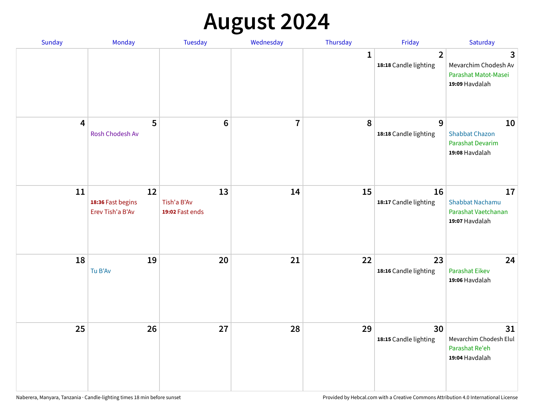# **August 2024**

| Sunday                  | Monday                                      | Tuesday                              | Wednesday               | Thursday     | Friday                                  | Saturday                                                                 |
|-------------------------|---------------------------------------------|--------------------------------------|-------------------------|--------------|-----------------------------------------|--------------------------------------------------------------------------|
|                         |                                             |                                      |                         | $\mathbf{1}$ | $\overline{2}$<br>18:18 Candle lighting | 3<br>Mevarchim Chodesh Av<br>Parashat Matot-Masei<br>19:09 Havdalah      |
| $\overline{\mathbf{4}}$ | 5<br>Rosh Chodesh Av                        | $6\phantom{1}6$                      | $\overline{\mathbf{I}}$ | 8            | $\overline{9}$<br>18:18 Candle lighting | 10<br><b>Shabbat Chazon</b><br><b>Parashat Devarim</b><br>19:08 Havdalah |
| 11                      | 12<br>18:36 Fast begins<br>Erev Tish'a B'Av | 13<br>Tish'a B'Av<br>19:02 Fast ends | 14                      | 15           | 16<br>18:17 Candle lighting             | 17<br><b>Shabbat Nachamu</b><br>Parashat Vaetchanan<br>19:07 Havdalah    |
| 18                      | 19<br>Tu B'Av                               | 20                                   | 21                      | 22           | 23<br>18:16 Candle lighting             | 24<br><b>Parashat Eikev</b><br>19:06 Havdalah                            |
| 25                      | 26                                          | 27                                   | 28                      | 29           | 30<br>18:15 Candle lighting             | 31<br>Mevarchim Chodesh Elul<br>Parashat Re'eh<br>19:04 Havdalah         |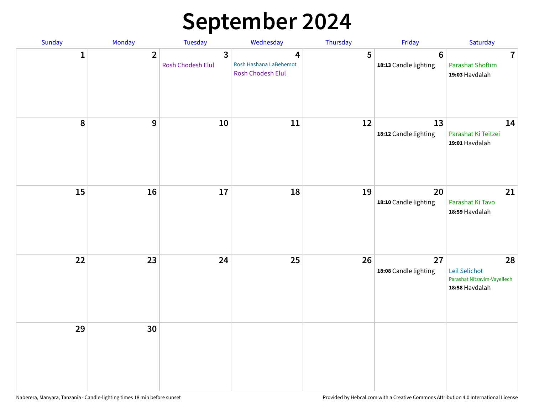## **September 2024**

| Sunday       | Monday         | Tuesday                | Wednesday                                               | Thursday | Friday                           | Saturday                                                             |
|--------------|----------------|------------------------|---------------------------------------------------------|----------|----------------------------------|----------------------------------------------------------------------|
| $\mathbf{1}$ | $\overline{2}$ | 3<br>Rosh Chodesh Elul | 4<br>Rosh Hashana LaBehemot<br><b>Rosh Chodesh Elul</b> | 5        | $\bf 6$<br>18:13 Candle lighting | $\overline{7}$<br><b>Parashat Shoftim</b><br>19:03 Havdalah          |
| 8            | $9$            | $10\,$                 | 11                                                      | 12       | 13<br>18:12 Candle lighting      | 14<br>Parashat Ki Teitzei<br>19:01 Havdalah                          |
| 15           | 16             | 17                     | 18                                                      | 19       | 20<br>18:10 Candle lighting      | 21<br>Parashat Ki Tavo<br>18:59 Havdalah                             |
| 22           | 23             | 24                     | 25                                                      | 26       | 27<br>18:08 Candle lighting      | 28<br>Leil Selichot<br>Parashat Nitzavim-Vayeilech<br>18:58 Havdalah |
| 29           | 30             |                        |                                                         |          |                                  |                                                                      |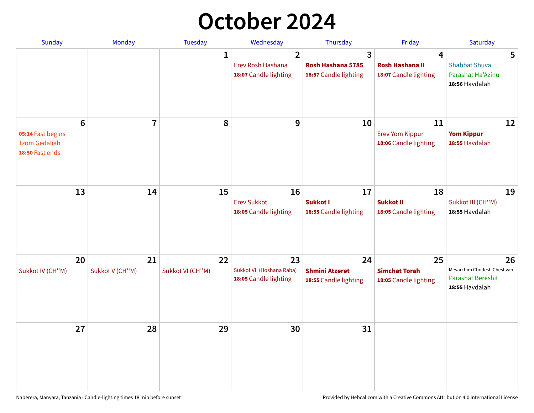## **October 2024**

| <b>Sunday</b>                                                | <b>Monday</b>                | <b>Tuesday</b>         | Wednesday                                                    | Thursday                                             | Friday                                                | Saturday                                                                |
|--------------------------------------------------------------|------------------------------|------------------------|--------------------------------------------------------------|------------------------------------------------------|-------------------------------------------------------|-------------------------------------------------------------------------|
|                                                              |                              | $\mathbf{1}$           | $\overline{2}$<br>Erev Rosh Hashana<br>18:07 Candle lighting | 3<br>Rosh Hashana 5785<br>18:57 Candle lighting      | 4<br><b>Rosh Hashana II</b><br>18:07 Candle lighting  | 5<br><b>Shabbat Shuva</b><br>Parashat Ha'Azinu<br>18:56 Havdalah        |
| 05:14 Fast begins<br><b>Tzom Gedaliah</b><br>18:50 Fast ends | 6<br>$\overline{\mathbf{7}}$ | 8                      | 9                                                            | 10                                                   | 11<br><b>Erev Yom Kippur</b><br>18:06 Candle lighting | 12<br><b>Yom Kippur</b><br>18:55 Havdalah                               |
| 13                                                           | 14                           | 15                     | 16<br><b>Erev Sukkot</b><br>18:05 Candle lighting            | 17<br>Sukkot I<br>18:55 Candle lighting              | 18<br>Sukkot II<br>18:05 Candle lighting              | 19<br>Sukkot III (CH"M)<br>18:55 Havdalah                               |
| 20<br>Sukkot IV (CH"M)                                       | 21<br>Sukkot V (CH"M)        | 22<br>Sukkot VI (CH"M) | 23<br>Sukkot VII (Hoshana Raba)<br>18:05 Candle lighting     | 24<br><b>Shmini Atzeret</b><br>18:55 Candle lighting | 25<br><b>Simchat Torah</b><br>18:05 Candle lighting   | 26<br>Mevarchim Chodesh Cheshvan<br>Parashat Bereshit<br>18:55 Havdalah |
| 27                                                           | 28                           | 29                     | 30                                                           | 31                                                   |                                                       |                                                                         |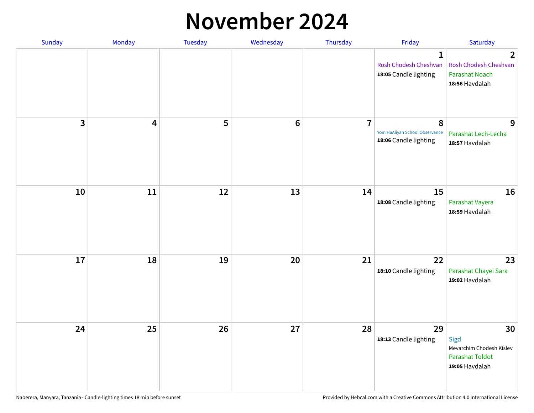#### **November 2024**

| Sunday | Monday                  | Tuesday | Wednesday      | Thursday       | Friday                                                         | Saturday                                                                           |
|--------|-------------------------|---------|----------------|----------------|----------------------------------------------------------------|------------------------------------------------------------------------------------|
|        |                         |         |                |                | $\mathbf{1}$<br>Rosh Chodesh Cheshvan<br>18:05 Candle lighting | $\overline{2}$<br>Rosh Chodesh Cheshvan<br><b>Parashat Noach</b><br>18:56 Havdalah |
| 3      | $\overline{\mathbf{4}}$ | 5       | $6\phantom{1}$ | $\overline{7}$ | 8<br>Yom HaAliyah School Observance<br>18:06 Candle lighting   | 9<br>Parashat Lech-Lecha<br>18:57 Havdalah                                         |
| 10     | 11                      | 12      | 13             | 14             | 15<br>18:08 Candle lighting                                    | 16<br>Parashat Vayera<br>18:59 Havdalah                                            |
| 17     | 18                      | 19      | 20             | 21             | 22<br>18:10 Candle lighting                                    | 23<br>Parashat Chayei Sara<br>19:02 Havdalah                                       |
| 24     | 25                      | 26      | 27             | 28             | 29<br>18:13 Candle lighting                                    | 30<br>Sigd<br>Mevarchim Chodesh Kislev<br><b>Parashat Toldot</b><br>19:05 Havdalah |